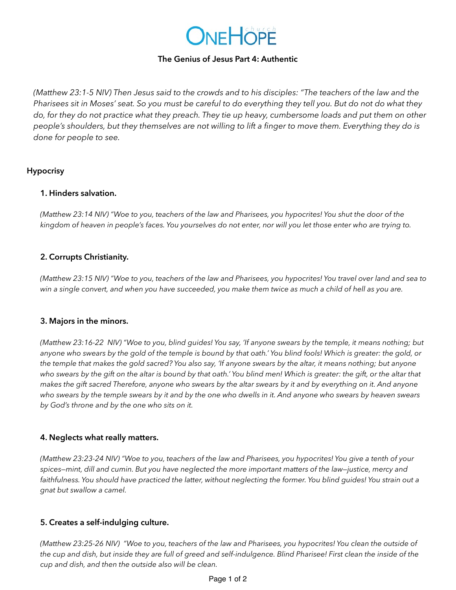

#### **The Genius of Jesus Part 4: Authentic**

*(Matthew 23:1-5 NIV) Then Jesus said to the crowds and to his disciples: "The teachers of the law and the Pharisees sit in Moses' seat. So you must be careful to do everything they tell you. But do not do what they do, for they do not practice what they preach. They tie up heavy, cumbersome loads and put them on other people's shoulders, but they themselves are not willing to lift a finger to move them. Everything they do is done for people to see.*

## **Hypocrisy**

#### **1. Hinders salvation.**

*(Matthew 23:14 NIV) "Woe to you, teachers of the law and Pharisees, you hypocrites! You shut the door of the kingdom of heaven in people's faces. You yourselves do not enter, nor will you let those enter who are trying to.*

# **2. Corrupts Christianity.**

*(Matthew 23:15 NIV) "Woe to you, teachers of the law and Pharisees, you hypocrites! You travel over land and sea to win a single convert, and when you have succeeded, you make them twice as much a child of hell as you are.*

#### **3. Majors in the minors.**

*(Matthew 23:16-22 NIV) "Woe to you, blind guides! You say, 'If anyone swears by the temple, it means nothing; but anyone who swears by the gold of the temple is bound by that oath.' You blind fools! Which is greater: the gold, or the temple that makes the gold sacred? You also say, 'If anyone swears by the altar, it means nothing; but anyone who swears by the gift on the altar is bound by that oath.' You blind men! Which is greater: the gift, or the altar that makes the gift sacred Therefore, anyone who swears by the altar swears by it and by everything on it. And anyone who swears by the temple swears by it and by the one who dwells in it. And anyone who swears by heaven swears by God's throne and by the one who sits on it.*

#### **4. Neglects what really matters.**

*(Matthew 23:23-24 NIV) "Woe to you, teachers of the law and Pharisees, you hypocrites! You give a tenth of your spices—mint, dill and cumin. But you have neglected the more important matters of the law—justice, mercy and*  faithfulness. You should have practiced the latter, without neglecting the former. You blind guides! You strain out a *gnat but swallow a camel.*

#### **5. Creates a self-indulging culture.**

*(Matthew 23:25-26 NIV) "Woe to you, teachers of the law and Pharisees, you hypocrites! You clean the outside of the cup and dish, but inside they are full of greed and self-indulgence. Blind Pharisee! First clean the inside of the cup and dish, and then the outside also will be clean.*